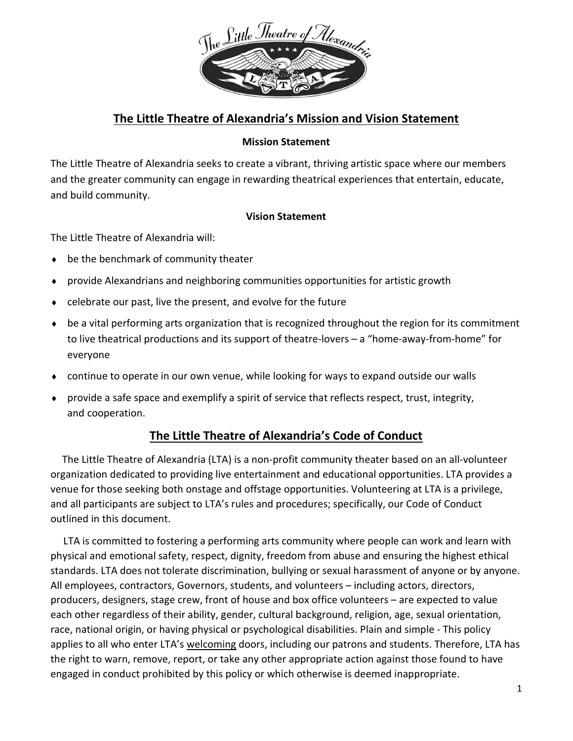

### The Little Theatre of Alexandria's Mission and Vision Statement

### Mission Statement

The Little Theatre of Alexandria seeks to create a vibrant, thriving artistic space where our members and the greater community can engage in rewarding theatrical experiences that entertain, educate, and build community.

### Vision Statement

The Little Theatre of Alexandria will:

- ◆ be the benchmark of community theater
- provide Alexandrians and neighboring communities opportunities for artistic growth
- $\bullet$  celebrate our past, live the present, and evolve for the future
- be a vital performing arts organization that is recognized throughout the region for its commitment to live theatrical productions and its support of theatre-lovers – a "home-away-from-home" for everyone
- continue to operate in our own venue, while looking for ways to expand outside our walls
- provide a safe space and exemplify a spirit of service that reflects respect, trust, integrity, and cooperation.

## The Little Theatre of Alexandria's Code of Conduct

 The Little Theatre of Alexandria (LTA) is a non-profit community theater based on an all-volunteer organization dedicated to providing live entertainment and educational opportunities. LTA provides a venue for those seeking both onstage and offstage opportunities. Volunteering at LTA is a privilege, and all participants are subject to LTA's rules and procedures; specifically, our Code of Conduct outlined in this document.

 LTA is committed to fostering a performing arts community where people can work and learn with physical and emotional safety, respect, dignity, freedom from abuse and ensuring the highest ethical standards. LTA does not tolerate discrimination, bullying or sexual harassment of anyone or by anyone. All employees, contractors, Governors, students, and volunteers – including actors, directors, producers, designers, stage crew, front of house and box office volunteers – are expected to value each other regardless of their ability, gender, cultural background, religion, age, sexual orientation, race, national origin, or having physical or psychological disabilities. Plain and simple - This policy applies to all who enter LTA's welcoming doors, including our patrons and students. Therefore, LTA has the right to warn, remove, report, or take any other appropriate action against those found to have engaged in conduct prohibited by this policy or which otherwise is deemed inappropriate.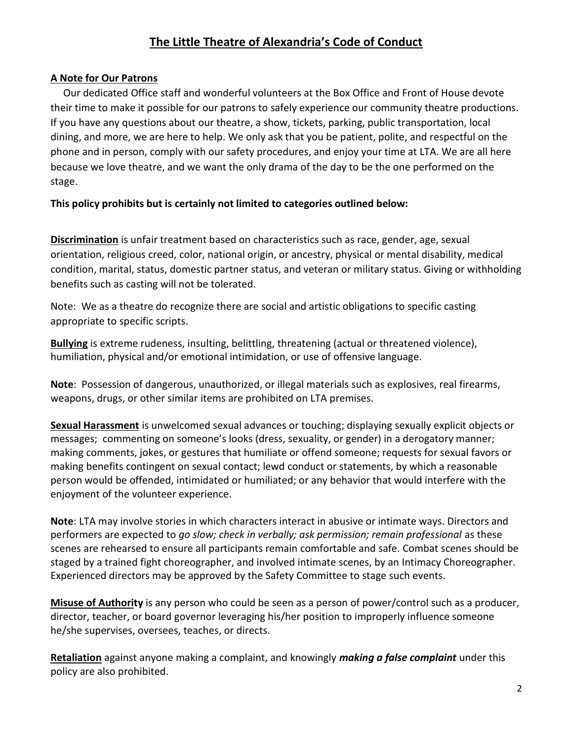# The Little Theatre of Alexandria's Code of Conduct

### A Note for Our Patrons

 Our dedicated Office staff and wonderful volunteers at the Box Office and Front of House devote their time to make it possible for our patrons to safely experience our community theatre productions. If you have any questions about our theatre, a show, tickets, parking, public transportation, local dining, and more, we are here to help. We only ask that you be patient, polite, and respectful on the phone and in person, comply with our safety procedures, and enjoy your time at LTA. We are all here because we love theatre, and we want the only drama of the day to be the one performed on the stage.

This policy prohibits but is certainly not limited to categories outlined below:

**Discrimination** is unfair treatment based on characteristics such as race, gender, age, sexual orientation, religious creed, color, national origin, or ancestry, physical or mental disability, medical condition, marital, status, domestic partner status, and veteran or military status. Giving or withholding benefits such as casting will not be tolerated.

Note: We as a theatre do recognize there are social and artistic obligations to specific casting appropriate to specific scripts.

Bullying is extreme rudeness, insulting, belittling, threatening (actual or threatened violence), humiliation, physical and/or emotional intimidation, or use of offensive language.

Note: Possession of dangerous, unauthorized, or illegal materials such as explosives, real firearms, weapons, drugs, or other similar items are prohibited on LTA premises.

Sexual Harassment is unwelcomed sexual advances or touching; displaying sexually explicit objects or messages; commenting on someone's looks (dress, sexuality, or gender) in a derogatory manner; making comments, jokes, or gestures that humiliate or offend someone; requests for sexual favors or making benefits contingent on sexual contact; lewd conduct or statements, by which a reasonable person would be offended, intimidated or humiliated; or any behavior that would interfere with the enjoyment of the volunteer experience.

Note: LTA may involve stories in which characters interact in abusive or intimate ways. Directors and performers are expected to go slow; check in verbally; ask permission; remain professional as these scenes are rehearsed to ensure all participants remain comfortable and safe. Combat scenes should be staged by a trained fight choreographer, and involved intimate scenes, by an Intimacy Choreographer. Experienced directors may be approved by the Safety Committee to stage such events.

Misuse of Authority is any person who could be seen as a person of power/control such as a producer, director, teacher, or board governor leveraging his/her position to improperly influence someone he/she supervises, oversees, teaches, or directs.

Retaliation against anyone making a complaint, and knowingly *making a false complaint* under this policy are also prohibited.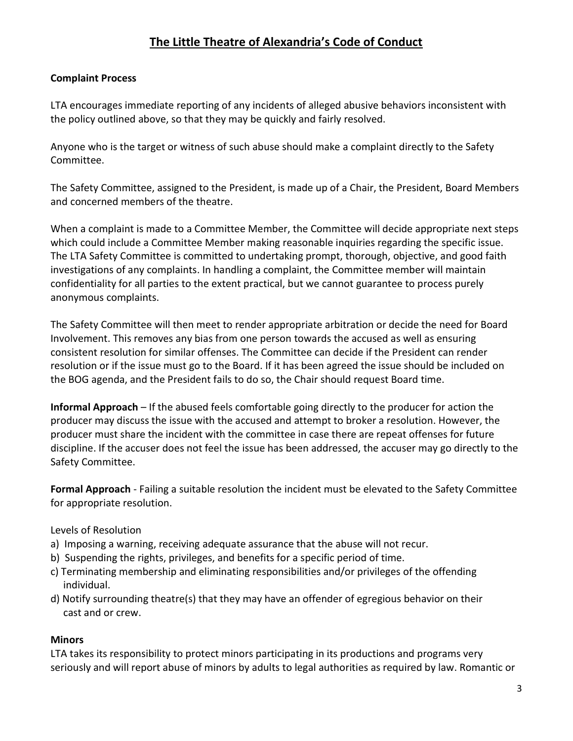# The Little Theatre of Alexandria's Code of Conduct

### Complaint Process

LTA encourages immediate reporting of any incidents of alleged abusive behaviors inconsistent with the policy outlined above, so that they may be quickly and fairly resolved.

Anyone who is the target or witness of such abuse should make a complaint directly to the Safety Committee.

The Safety Committee, assigned to the President, is made up of a Chair, the President, Board Members and concerned members of the theatre.

When a complaint is made to a Committee Member, the Committee will decide appropriate next steps which could include a Committee Member making reasonable inquiries regarding the specific issue. The LTA Safety Committee is committed to undertaking prompt, thorough, objective, and good faith investigations of any complaints. In handling a complaint, the Committee member will maintain confidentiality for all parties to the extent practical, but we cannot guarantee to process purely anonymous complaints.

The Safety Committee will then meet to render appropriate arbitration or decide the need for Board Involvement. This removes any bias from one person towards the accused as well as ensuring consistent resolution for similar offenses. The Committee can decide if the President can render resolution or if the issue must go to the Board. If it has been agreed the issue should be included on the BOG agenda, and the President fails to do so, the Chair should request Board time.

Informal Approach – If the abused feels comfortable going directly to the producer for action the producer may discuss the issue with the accused and attempt to broker a resolution. However, the producer must share the incident with the committee in case there are repeat offenses for future discipline. If the accuser does not feel the issue has been addressed, the accuser may go directly to the Safety Committee.

Formal Approach - Failing a suitable resolution the incident must be elevated to the Safety Committee for appropriate resolution.

#### Levels of Resolution

- a) Imposing a warning, receiving adequate assurance that the abuse will not recur.
- b) Suspending the rights, privileges, and benefits for a specific period of time.
- c) Terminating membership and eliminating responsibilities and/or privileges of the offending individual.
- d) Notify surrounding theatre(s) that they may have an offender of egregious behavior on their cast and or crew.

#### **Minors**

LTA takes its responsibility to protect minors participating in its productions and programs very seriously and will report abuse of minors by adults to legal authorities as required by law. Romantic or